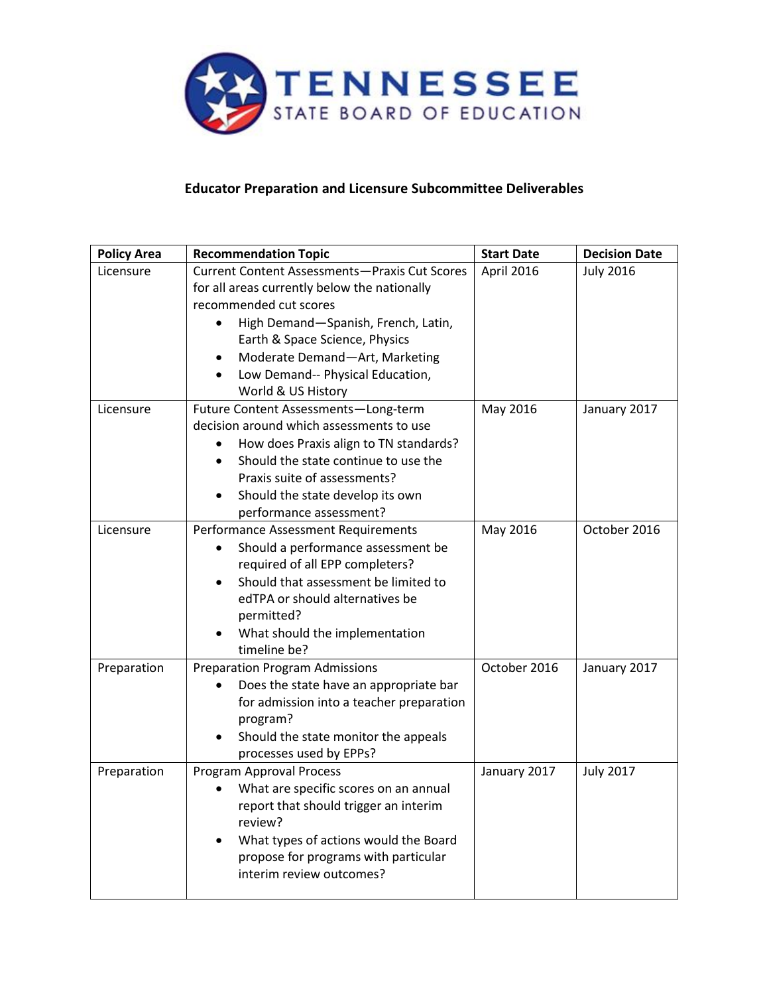

## **Educator Preparation and Licensure Subcommittee Deliverables**

| <b>Policy Area</b> | <b>Recommendation Topic</b>                          | <b>Start Date</b> | <b>Decision Date</b> |  |  |  |
|--------------------|------------------------------------------------------|-------------------|----------------------|--|--|--|
| Licensure          | <b>Current Content Assessments-Praxis Cut Scores</b> | April 2016        | <b>July 2016</b>     |  |  |  |
|                    | for all areas currently below the nationally         |                   |                      |  |  |  |
|                    | recommended cut scores                               |                   |                      |  |  |  |
|                    | High Demand-Spanish, French, Latin,                  |                   |                      |  |  |  |
|                    | Earth & Space Science, Physics                       |                   |                      |  |  |  |
|                    | Moderate Demand-Art, Marketing                       |                   |                      |  |  |  |
|                    | Low Demand-- Physical Education,                     |                   |                      |  |  |  |
|                    | World & US History                                   |                   |                      |  |  |  |
| Licensure          | Future Content Assessments-Long-term                 | May 2016          | January 2017         |  |  |  |
|                    | decision around which assessments to use             |                   |                      |  |  |  |
|                    | How does Praxis align to TN standards?               |                   |                      |  |  |  |
|                    | Should the state continue to use the                 |                   |                      |  |  |  |
|                    | Praxis suite of assessments?                         |                   |                      |  |  |  |
|                    | Should the state develop its own                     |                   |                      |  |  |  |
|                    | performance assessment?                              |                   |                      |  |  |  |
| Licensure          | Performance Assessment Requirements                  | May 2016          | October 2016         |  |  |  |
|                    | Should a performance assessment be                   |                   |                      |  |  |  |
|                    | required of all EPP completers?                      |                   |                      |  |  |  |
|                    | Should that assessment be limited to                 |                   |                      |  |  |  |
|                    | edTPA or should alternatives be                      |                   |                      |  |  |  |
|                    | permitted?                                           |                   |                      |  |  |  |
|                    | What should the implementation                       |                   |                      |  |  |  |
|                    | timeline be?                                         |                   |                      |  |  |  |
| Preparation        | <b>Preparation Program Admissions</b>                | October 2016      | January 2017         |  |  |  |
|                    | Does the state have an appropriate bar               |                   |                      |  |  |  |
|                    | for admission into a teacher preparation             |                   |                      |  |  |  |
|                    | program?                                             |                   |                      |  |  |  |
|                    | Should the state monitor the appeals                 |                   |                      |  |  |  |
|                    | processes used by EPPs?                              |                   |                      |  |  |  |
| Preparation        | Program Approval Process                             | January 2017      | <b>July 2017</b>     |  |  |  |
|                    | What are specific scores on an annual                |                   |                      |  |  |  |
|                    | report that should trigger an interim                |                   |                      |  |  |  |
|                    | review?                                              |                   |                      |  |  |  |
|                    | What types of actions would the Board                |                   |                      |  |  |  |
|                    | propose for programs with particular                 |                   |                      |  |  |  |
|                    | interim review outcomes?                             |                   |                      |  |  |  |
|                    |                                                      |                   |                      |  |  |  |